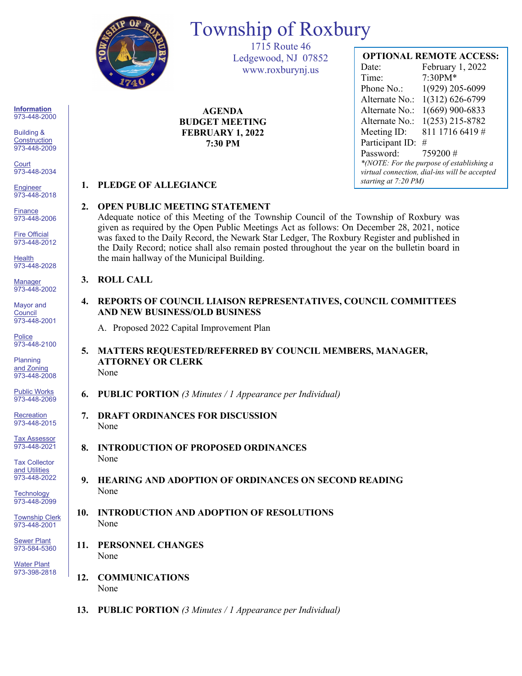

# Township of Roxbury

1715 Route 46 Ledgewood, NJ 07852 www.roxburynj.us

**AGENDA BUDGET MEETING FEBRUARY 1, 2022 7:30 PM**

## **OPTIONAL REMOTE ACCESS:**

Date: February 1, 2022 Time: 7:30PM\* Phone No.: 1(929) 205-6099 Alternate No.: 1(312) 626-6799 Alternate No.: 1(669) 900-6833 Alternate No.: 1(253) 215-8782 Meeting ID: 811 1716 6419 # Participant ID: # Password: 759200 # *\*(NOTE: For the purpose of establishing a virtual connection, dial-ins will be accepted starting at 7:20 PM)*

### **1. PLEDGE OF ALLEGIANCE**

#### **2. OPEN PUBLIC MEETING STATEMENT**

Adequate notice of this Meeting of the Township Council of the Township of Roxbury was given as required by the Open Public Meetings Act as follows: On December 28, 2021, notice was faxed to the Daily Record, the Newark Star Ledger, The Roxbury Register and published in the Daily Record; notice shall also remain posted throughout the year on the bulletin board in the main hallway of the Municipal Building.

#### **3. ROLL CALL**

**4. REPORTS OF COUNCIL LIAISON REPRESENTATIVES, COUNCIL COMMITTEES AND NEW BUSINESS/OLD BUSINESS**

A. Proposed 2022 Capital Improvement Plan

- **5. MATTERS REQUESTED/REFERRED BY COUNCIL MEMBERS, MANAGER, ATTORNEY OR CLERK** None
- **6. PUBLIC PORTION** *(3 Minutes / 1 Appearance per Individual)*
- **7. DRAFT ORDINANCES FOR DISCUSSION** None
- **8. INTRODUCTION OF PROPOSED ORDINANCES** None
- **9. HEARING AND ADOPTION OF ORDINANCES ON SECOND READING** None
- **10. INTRODUCTION AND ADOPTION OF RESOLUTIONS** None
- **11. PERSONNEL CHANGES** None
- **12. COMMUNICATIONS** None
- **13. PUBLIC PORTION** *(3 Minutes / 1 Appearance per Individual)*

**Information** 973-448-2000

Building & **Construction** 973-448-2009

**Court** 973-448-2034

**Engineer** 973-448-2018

**Finance** 973-448-2006

Fire Official 973-448-2012

**Health** 973-448-2028

Manager 973-448-2002

Mayor and **Council** 973-448-2001

**Police** 973-448-2100

Planning and Zoning 973-448-2008

Public Works 973-448-2069

**Recreation** 973-448-2015

Tax Assessor 973-448-2021

Tax Collector and Utilities 973-448-2022

**Technology** 973-448-2099

Township Clerk 973-448-2001

**Sewer Plant** 973-584-5360

Water Plant 973-398-2818